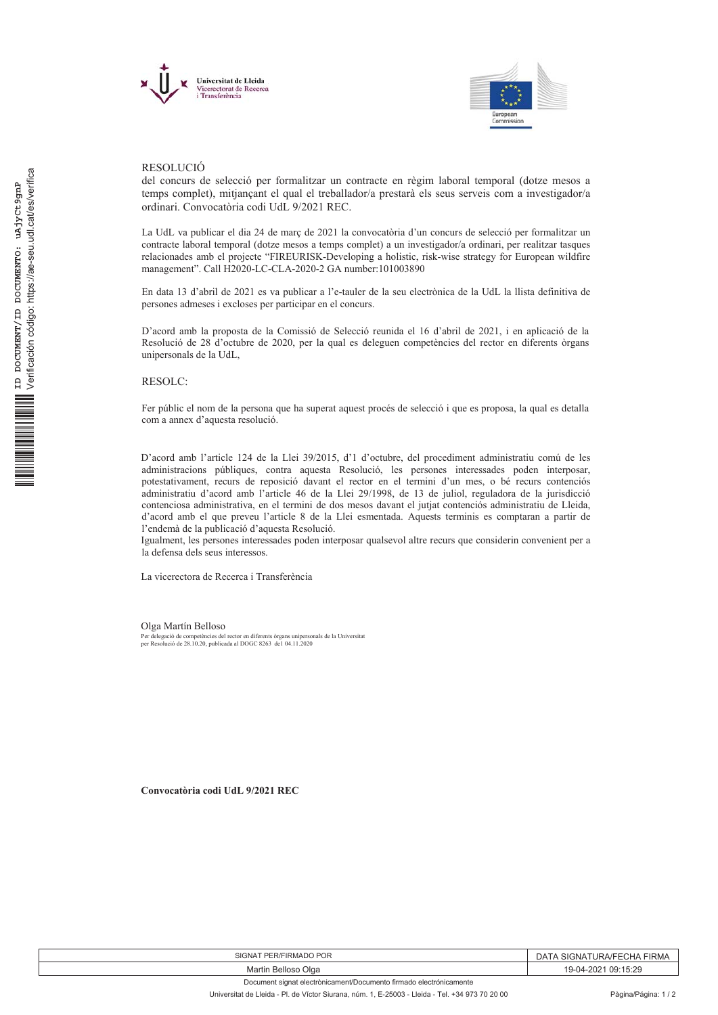



## **RESOLUCIÓ**

del concurs de selecció per formalitzar un contracte en règim laboral temporal (dotze mesos a temps complet), mitjancant el qual el treballador/a prestarà els seus serveis com a investigador/a ordinari. Convocatòria codi UdL 9/2021 REC.

La UdL va publicar el dia 24 de març de 2021 la convocatòria d'un concurs de selecció per formalitzar un contracte laboral temporal (dotze mesos a temps complet) a un investigador/a ordinari, per realitzar tasques relacionades amb el projecte "FIREURISK-Developing a holistic, risk-wise strategy for European wildfire management". Call H2020-LC-CLA-2020-2 GA number:101003890

En data 13 d'abril de 2021 es va publicar a l'e-tauler de la seu electrònica de la UdL la llista definitiva de persones admeses i excloses per participar en el concurs.

D'acord amb la proposta de la Comissió de Selecció reunida el 16 d'abril de 2021, i en aplicació de la Resolució de 28 d'octubre de 2020, per la qual es deleguen competències del rector en diferents òrgans unipersonals de la UdL,

**RESOLC:** 

Fer públic el nom de la persona que ha superat aquest procés de selecció i que es proposa, la qual es detalla com a annex d'aquesta resolució.

D'acord amb l'article 124 de la Llei 39/2015, d'1 d'octubre, del procediment administratiu comú de les administracions públiques, contra aquesta Resolució, les persones interessades poden interposar, potestativament, recurs de reposició davant el rector en el termini d'un mes, o bé recurs contenciós administratiu d'acord amb l'article 46 de la Llei 29/1998, de 13 de juliol, reguladora de la jurisdicció contenciosa administrativa, en el termini de dos mesos davant el jutjat contenciós administratiu de Lleida, d'acord amb el que preveu l'article 8 de la Llei esmentada. Aquests terminis es comptaran a partir de l'endemà de la publicació d'aquesta Resolució.

Igualment, les persones interessades poden interposar qualsevol altre recurs que considerin convenient per a la defensa dels seus interessos

La vicerectora de Recerca i Transferència

Olga Martín Belloso

es<br>Per delegació de competències del rector en diferents òrgans unipersonals de la Universitat<br>per Resolució de 28.10.20, publicada al DOGC 8263 del 04.11.2020

Convocatòria codi UdL 9/2021 REC

| SIGNAT PER/FIRMADO POR                                             | <b>TURA/FECHA</b><br><b>SIGNAT</b><br>FIRMA<br>JА |
|--------------------------------------------------------------------|---------------------------------------------------|
| Martin Belloso Olga                                                | 19-04-2021 09:15:29                               |
| Document signat electrònicament/Documento firmado electrónicamente |                                                   |